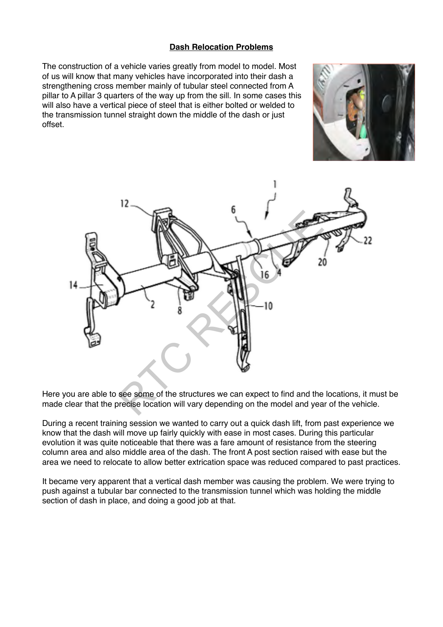## **Dash Relocation Problems**

The construction of a vehicle varies greatly from model to model. Most of us will know that many vehicles have incorporated into their dash a strengthening cross member mainly of tubular steel connected from A pillar to A pillar 3 quarters of the way up from the sill. In some cases this will also have a vertical piece of steel that is either bolted or welded to the transmission tunnel straight down the middle of the dash or just offset.





Here you are able to see some of the structures we can expect to find and the locations, it must be made clear that the precise location will vary depending on the model and year of the vehicle.

During a recent training session we wanted to carry out a quick dash lift, from past experience we know that the dash will move up fairly quickly with ease in most cases. During this particular evolution it was quite noticeable that there was a fare amount of resistance from the steering column area and also middle area of the dash. The front A post section raised with ease but the area we need to relocate to allow better extrication space was reduced compared to past practices.

It became very apparent that a vertical dash member was causing the problem. We were trying to push against a tubular bar connected to the transmission tunnel which was holding the middle section of dash in place, and doing a good job at that.